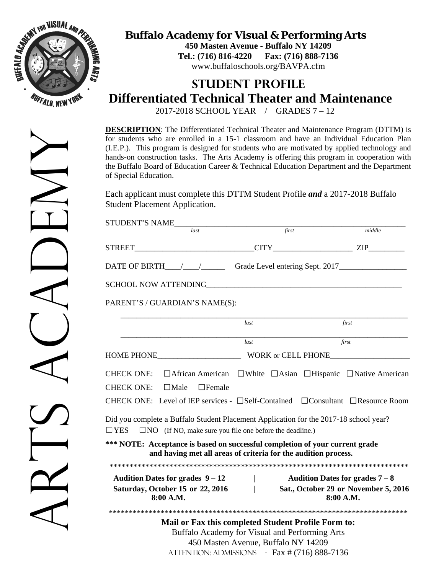

**Buffalo Academy for Visual & Performing Arts**

**450 Masten Avenue - Buffalo NY 14209 Tel.: (716) 816-4220 Fax: (716) 888-7136**  www.buffaloschools.org/BAVPA.cfm

## **STUDENT PROFILE Differentiated Technical Theater and Maintenance**

2017-2018 SCHOOL YEAR / GRADES 7 – 12

**DESCRIPTION**: The Differentiated Technical Theater and Maintenance Program (DTTM) is for students who are enrolled in a 15-1 classroom and have an Individual Education Plan (I.E.P.). This program is designed for students who are motivated by applied technology and hands-on construction tasks. The Arts Academy is offering this program in cooperation with the Buffalo Board of Education Career & Technical Education Department and the Department of Special Education.

Each applicant must complete this DTTM Student Profile *and* a 2017-2018 Buffalo Student Placement Application.

| STUDENT'S NAME                                                                                                                                                                                                                                                                                                                                                                                                              |                                          |       |                                                                                      |
|-----------------------------------------------------------------------------------------------------------------------------------------------------------------------------------------------------------------------------------------------------------------------------------------------------------------------------------------------------------------------------------------------------------------------------|------------------------------------------|-------|--------------------------------------------------------------------------------------|
|                                                                                                                                                                                                                                                                                                                                                                                                                             |                                          | first | middle                                                                               |
|                                                                                                                                                                                                                                                                                                                                                                                                                             |                                          |       |                                                                                      |
| DATE OF BIRTH______________________Grade Level entering Sept. 2017_______________                                                                                                                                                                                                                                                                                                                                           |                                          |       |                                                                                      |
|                                                                                                                                                                                                                                                                                                                                                                                                                             |                                          |       |                                                                                      |
| PARENT'S / GUARDIAN'S NAME(S):                                                                                                                                                                                                                                                                                                                                                                                              |                                          |       |                                                                                      |
|                                                                                                                                                                                                                                                                                                                                                                                                                             | last                                     |       | first                                                                                |
|                                                                                                                                                                                                                                                                                                                                                                                                                             | last                                     |       | $\overline{first}$                                                                   |
|                                                                                                                                                                                                                                                                                                                                                                                                                             |                                          |       |                                                                                      |
| □ African American □ White □ Asian □ Hispanic □ Native American<br><b>CHECK ONE:</b><br><b>CHECK ONE:</b><br>$\Box$ Male<br>$\Box$ Female<br>CHECK ONE: Level of IEP services - $\square$ Self-Contained $\square$ Consultant $\square$ Resource Room<br>Did you complete a Buffalo Student Placement Application for the 2017-18 school year?<br>$\Box$ YES $\Box$ NO (If NO, make sure you file one before the deadline.) |                                          |       |                                                                                      |
| *** NOTE: Acceptance is based on successful completion of your current grade<br>and having met all areas of criteria for the audition process.                                                                                                                                                                                                                                                                              |                                          |       |                                                                                      |
|                                                                                                                                                                                                                                                                                                                                                                                                                             |                                          |       |                                                                                      |
| Audition Dates for grades $9-12$<br>Saturday, October 15 or 22, 2016<br>8:00 A.M.                                                                                                                                                                                                                                                                                                                                           | $\mathbf{L}$<br>$\overline{\phantom{a}}$ |       | Audition Dates for grades $7-8$<br>Sat., October 29 or November 5, 2016<br>8:00 A.M. |
|                                                                                                                                                                                                                                                                                                                                                                                                                             |                                          |       |                                                                                      |
| Mail or Fax this completed Student Profile Form to:<br>Buffalo Academy for Visual and Performing Arts<br>ATTENTION: ADMISSIONS - Fax # (716) 888-7136                                                                                                                                                                                                                                                                       | 450 Masten Avenue, Buffalo NY 14209      |       |                                                                                      |

ARS ACAEMY